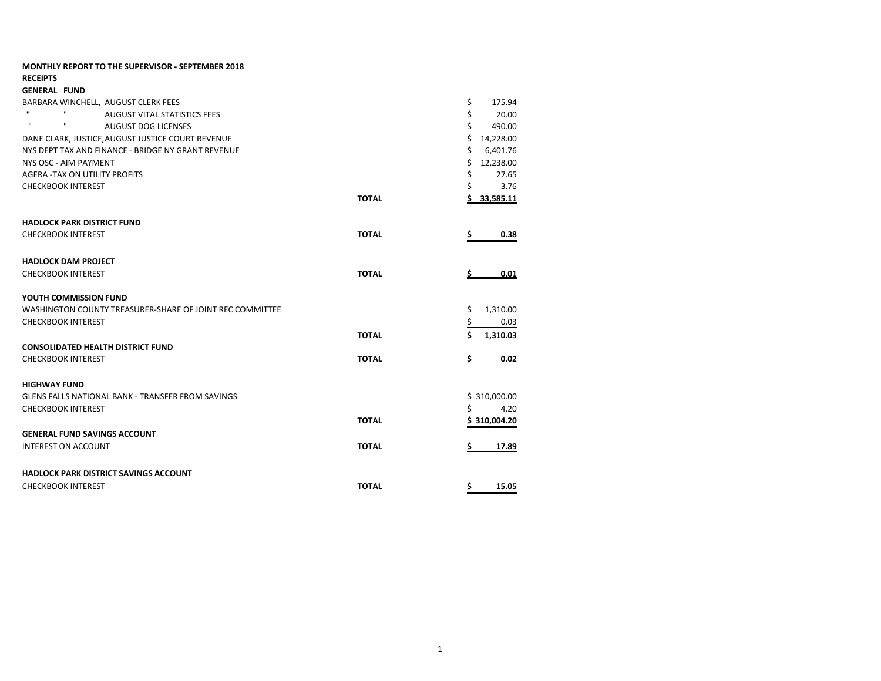| <b>MONTHLY REPORT TO THE SUPERVISOR - SEPTEMBER 2018</b><br><b>RECEIPTS</b> |              |                  |
|-----------------------------------------------------------------------------|--------------|------------------|
| <b>GENERAL FUND</b>                                                         |              |                  |
| BARBARA WINCHELL, AUGUST CLERK FEES                                         |              | \$<br>175.94     |
| $\mathbf{u}$<br>$\mathbf{H}$<br><b>AUGUST VITAL STATISTICS FEES</b>         |              | \$<br>20.00      |
| $\mathbf{H}$<br>$\mathbf{H}$<br><b>AUGUST DOG LICENSES</b>                  |              | \$<br>490.00     |
| DANE CLARK, JUSTICE AUGUST JUSTICE COURT REVENUE                            |              | \$<br>14,228.00  |
| NYS DEPT TAX AND FINANCE - BRIDGE NY GRANT REVENUE                          |              | \$<br>6,401.76   |
| NYS OSC - AIM PAYMENT                                                       |              | \$<br>12,238.00  |
| <b>AGERA -TAX ON UTILITY PROFITS</b>                                        |              | \$<br>27.65      |
| <b>CHECKBOOK INTEREST</b>                                                   |              | 3.76             |
|                                                                             | <b>TOTAL</b> | 33.585.11        |
| <b>HADLOCK PARK DISTRICT FUND</b>                                           |              |                  |
| <b>CHECKBOOK INTEREST</b>                                                   | <b>TOTAL</b> | 0.38<br>\$       |
| <b>HADLOCK DAM PROJECT</b>                                                  |              |                  |
| <b>CHECKBOOK INTEREST</b>                                                   | <b>TOTAL</b> | 0.01<br><u>s</u> |
| YOUTH COMMISSION FUND                                                       |              |                  |
| WASHINGTON COUNTY TREASURER-SHARE OF JOINT REC COMMITTEE                    |              | 1,310.00<br>Ş.   |
| <b>CHECKBOOK INTEREST</b>                                                   |              | \$.<br>0.03      |
|                                                                             | <b>TOTAL</b> | 1,310.03         |
| <b>CONSOLIDATED HEALTH DISTRICT FUND</b>                                    |              |                  |
| <b>CHECKBOOK INTEREST</b>                                                   | <b>TOTAL</b> | 0.02<br>s        |
| <b>HIGHWAY FUND</b>                                                         |              |                  |
| <b>GLENS FALLS NATIONAL BANK - TRANSFER FROM SAVINGS</b>                    |              | \$310,000.00     |
| <b>CHECKBOOK INTEREST</b>                                                   |              | 4.20<br>s        |
|                                                                             | <b>TOTAL</b> | \$310,004.20     |
| <b>GENERAL FUND SAVINGS ACCOUNT</b>                                         |              |                  |
| <b>INTEREST ON ACCOUNT</b>                                                  | <b>TOTAL</b> | \$<br>17.89      |
| <b>HADLOCK PARK DISTRICT SAVINGS ACCOUNT</b>                                |              |                  |
| <b>CHECKBOOK INTEREST</b>                                                   | <b>TOTAL</b> | \$<br>15.05      |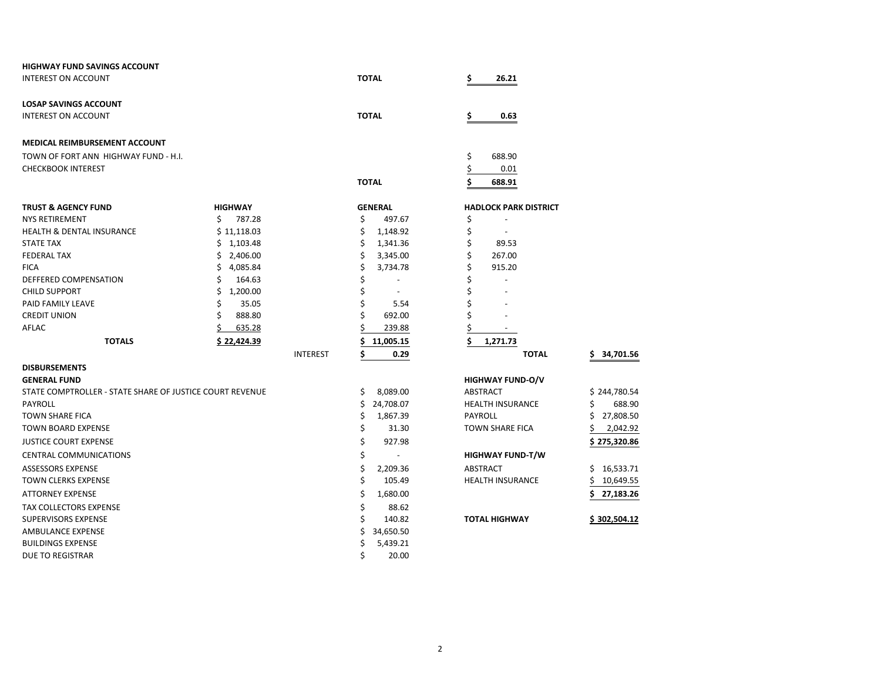| <b>HIGHWAY FUND SAVINGS ACCOUNT</b>                      |                 |                      |                                |                 |
|----------------------------------------------------------|-----------------|----------------------|--------------------------------|-----------------|
| <b>INTEREST ON ACCOUNT</b>                               |                 | <b>TOTAL</b>         | \$<br>26.21                    |                 |
| <b>LOSAP SAVINGS ACCOUNT</b>                             |                 |                      |                                |                 |
| <b>INTEREST ON ACCOUNT</b>                               |                 | <b>TOTAL</b>         | \$<br>0.63                     |                 |
| <b>MEDICAL REIMBURSEMENT ACCOUNT</b>                     |                 |                      |                                |                 |
| TOWN OF FORT ANN HIGHWAY FUND - H.I.                     |                 |                      | \$<br>688.90                   |                 |
| <b>CHECKBOOK INTEREST</b>                                |                 |                      | \$<br>0.01                     |                 |
|                                                          |                 | <b>TOTAL</b>         | \$<br>688.91                   |                 |
| <b>TRUST &amp; AGENCY FUND</b>                           | <b>HIGHWAY</b>  | <b>GENERAL</b>       | <b>HADLOCK PARK DISTRICT</b>   |                 |
| <b>NYS RETIREMENT</b>                                    | \$<br>787.28    | \$<br>497.67         | \$                             |                 |
| <b>HEALTH &amp; DENTAL INSURANCE</b>                     | \$11,118.03     | \$<br>1,148.92       | \$                             |                 |
| <b>STATE TAX</b>                                         | \$1,103.48      | \$<br>1,341.36       | \$<br>89.53                    |                 |
| <b>FEDERAL TAX</b>                                       | \$2,406.00      | \$<br>3,345.00       | \$<br>267.00                   |                 |
| <b>FICA</b>                                              | 4,085.84<br>\$  | \$<br>3,734.78       | \$<br>915.20                   |                 |
| DEFFERED COMPENSATION                                    | 164.63          | \$<br>$\blacksquare$ | \$                             |                 |
| <b>CHILD SUPPORT</b>                                     | 1,200.00<br>\$  | \$                   | \$                             |                 |
| PAID FAMILY LEAVE                                        | \$<br>35.05     | \$<br>5.54           | \$                             |                 |
| <b>CREDIT UNION</b>                                      | Ś<br>888.80     | Ś<br>692.00          | Ś                              |                 |
| AFLAC                                                    | 635.28          | 239.88               | \$<br>$\overline{\phantom{a}}$ |                 |
| <b>TOTALS</b>                                            | \$22,424.39     | \$<br>11,005.15      | \$<br>1,271.73                 |                 |
|                                                          | <b>INTEREST</b> | \$<br>0.29           | <b>TOTAL</b>                   | 34,701.56<br>\$ |
| <b>DISBURSEMENTS</b>                                     |                 |                      |                                |                 |
| <b>GENERAL FUND</b>                                      |                 |                      | <b>HIGHWAY FUND-O/V</b>        |                 |
| STATE COMPTROLLER - STATE SHARE OF JUSTICE COURT REVENUE |                 | \$<br>8,089.00       | ABSTRACT                       | \$244,780.54    |
| PAYROLL                                                  |                 | \$<br>24,708.07      | <b>HEALTH INSURANCE</b>        | \$<br>688.90    |
| <b>TOWN SHARE FICA</b>                                   |                 | \$<br>1,867.39       | <b>PAYROLL</b>                 | \$<br>27,808.50 |
| <b>TOWN BOARD EXPENSE</b>                                |                 | \$<br>31.30          | <b>TOWN SHARE FICA</b>         | \$<br>2,042.92  |
| <b>JUSTICE COURT EXPENSE</b>                             |                 | \$<br>927.98         |                                | \$275,320.86    |
| <b>CENTRAL COMMUNICATIONS</b>                            |                 | \$                   | <b>HIGHWAY FUND-T/W</b>        |                 |
| <b>ASSESSORS EXPENSE</b>                                 |                 | \$<br>2,209.36       | <b>ABSTRACT</b>                | 16,533.71<br>S. |
| <b>TOWN CLERKS EXPENSE</b>                               |                 | \$<br>105.49         | <b>HEALTH INSURANCE</b>        | 10,649.55<br>\$ |
| <b>ATTORNEY EXPENSE</b>                                  |                 | \$<br>1,680.00       |                                | Ś.<br>27,183.26 |
| TAX COLLECTORS EXPENSE                                   |                 | \$<br>88.62          |                                |                 |
| <b>SUPERVISORS EXPENSE</b>                               |                 | Ś<br>140.82          | <b>TOTAL HIGHWAY</b>           | \$302,504.12    |
| AMBULANCE EXPENSE                                        |                 | \$<br>34,650.50      |                                |                 |
| <b>BUILDINGS EXPENSE</b>                                 |                 | Ś<br>5,439.21        |                                |                 |
| <b>DUE TO REGISTRAR</b>                                  |                 | \$<br>20.00          |                                |                 |
|                                                          |                 |                      |                                |                 |

| <b>099.AT</b>            |                         |
|--------------------------|-------------------------|
| <b>OCK PARK DISTRICT</b> |                         |
|                          |                         |
|                          |                         |
| 89.53                    |                         |
| 267.00                   |                         |
| 915.20                   |                         |
|                          |                         |
|                          |                         |
|                          |                         |
|                          |                         |
|                          |                         |
| 1,271.73                 |                         |
| <b>TOTAL</b>             | \$34,701.5              |
| <b>NAY FUND-O/V</b>      |                         |
| <b>ACT</b>               | \$244,780.5             |
| H INSURANCE              | \$<br>688.9             |
| )LL                      | \$27,808.5              |
| <b>SHARE FICA</b>        | $\frac{5}{2}$ , 2,042.9 |
|                          | \$275,320.8             |
| <b>NAY FUND-T/W</b>      |                         |
|                          |                         |
| ACT                      | \$16,533.7              |
| H INSURANCE              | \$10,649.5              |
|                          | \$27,183.2              |
|                          |                         |
| <b>LHIGHWAY</b>          | \$302,504.1             |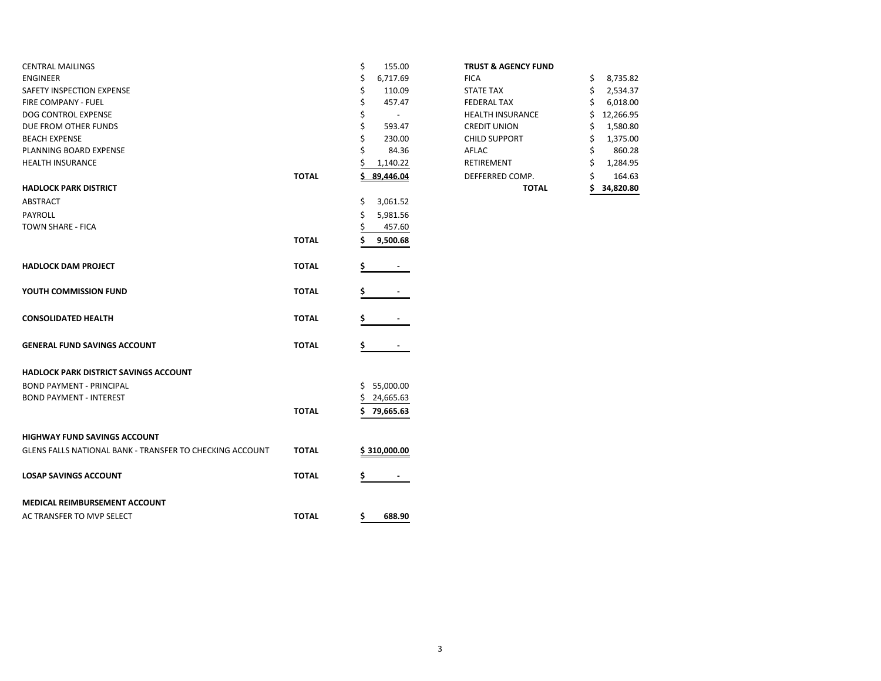| <b>CENTRAL MAILINGS</b>                                  |              | \$<br>155.00                   | <b>TRUST &amp; AGENCY FUND</b> |                |
|----------------------------------------------------------|--------------|--------------------------------|--------------------------------|----------------|
| <b>ENGINEER</b>                                          |              | \$<br>6,717.69                 | <b>FICA</b>                    | 8,735.82<br>\$ |
| SAFETY INSPECTION EXPENSE                                |              | \$<br>110.09                   | <b>STATE TAX</b>               | Ś.<br>2,534.37 |
| FIRE COMPANY - FUEL                                      |              | \$<br>457.47                   | <b>FEDERAL TAX</b>             | 6,018.00       |
| DOG CONTROL EXPENSE                                      |              | \$<br>$\overline{\phantom{a}}$ | <b>HEALTH INSURANCE</b>        | 12,266.95<br>Ś |
| DUE FROM OTHER FUNDS                                     |              | Ś<br>593.47                    | <b>CREDIT UNION</b>            | 1,580.80<br>S  |
| <b>BEACH EXPENSE</b>                                     |              | 230.00                         | <b>CHILD SUPPORT</b>           | 1,375.00<br>S  |
| PLANNING BOARD EXPENSE                                   |              | 84.36                          | AFLAC                          | 860.28         |
| <b>HEALTH INSURANCE</b>                                  |              | 1,140.22                       | RETIREMENT                     | 1,284.95<br>S  |
|                                                          | <b>TOTAL</b> | Ś.<br>89,446.04                | DEFFERRED COMP.                | 164.63         |
| <b>HADLOCK PARK DISTRICT</b>                             |              |                                | <b>TOTAL</b>                   | 34,820.80<br>S |
| <b>ABSTRACT</b>                                          |              | \$<br>3,061.52                 |                                |                |
| <b>PAYROLL</b>                                           |              | 5,981.56                       |                                |                |
| <b>TOWN SHARE - FICA</b>                                 |              | 457.60                         |                                |                |
|                                                          | <b>TOTAL</b> | 9,500.68                       |                                |                |
|                                                          |              |                                |                                |                |
| <b>HADLOCK DAM PROJECT</b>                               | <b>TOTAL</b> | \$                             |                                |                |
|                                                          |              |                                |                                |                |
| YOUTH COMMISSION FUND                                    | <b>TOTAL</b> |                                |                                |                |
|                                                          |              |                                |                                |                |
| <b>CONSOLIDATED HEALTH</b>                               | <b>TOTAL</b> |                                |                                |                |
|                                                          |              |                                |                                |                |
|                                                          |              |                                |                                |                |
| <b>GENERAL FUND SAVINGS ACCOUNT</b>                      | <b>TOTAL</b> | \$                             |                                |                |
|                                                          |              |                                |                                |                |
| <b>HADLOCK PARK DISTRICT SAVINGS ACCOUNT</b>             |              |                                |                                |                |
| <b>BOND PAYMENT - PRINCIPAL</b>                          |              | \$5,000.00                     |                                |                |
| <b>BOND PAYMENT - INTEREST</b>                           |              | 24,665.63<br>\$.               |                                |                |
|                                                          | <b>TOTAL</b> | \$.<br>79,665.63               |                                |                |
|                                                          |              |                                |                                |                |
| <b>HIGHWAY FUND SAVINGS ACCOUNT</b>                      |              |                                |                                |                |
| GLENS FALLS NATIONAL BANK - TRANSFER TO CHECKING ACCOUNT | <b>TOTAL</b> | \$310,000.00                   |                                |                |
|                                                          |              |                                |                                |                |
| <b>LOSAP SAVINGS ACCOUNT</b>                             | <b>TOTAL</b> | \$                             |                                |                |
|                                                          |              |                                |                                |                |
| MEDICAL REIMBURSEMENT ACCOUNT                            |              |                                |                                |                |
| AC TRANSFER TO MVP SELECT                                | <b>TOTAL</b> | \$<br>688.90                   |                                |                |
|                                                          |              |                                |                                |                |

| <b>TRUST &amp; AGENCY FUND</b> |  |  |
|--------------------------------|--|--|
|--------------------------------|--|--|

|       |                | <b>TOTAL</b>            | 34,820.80      |
|-------|----------------|-------------------------|----------------|
| ΤΟΤΑL | 89,446.04      | DEFFERRED COMP.         | \$<br>164.63   |
|       | \$<br>1,140.22 | RETIREMENT              | \$<br>1,284.95 |
|       | \$<br>84.36    | AFLAC                   | \$<br>860.28   |
|       | \$<br>230.00   | <b>CHILD SUPPORT</b>    | \$<br>1,375.00 |
|       | \$<br>593.47   | <b>CREDIT UNION</b>     | \$<br>1,580.80 |
|       | \$             | <b>HEALTH INSURANCE</b> | 12,266.95      |
|       | \$<br>457.47   | <b>FEDERAL TAX</b>      | \$<br>6,018.00 |
|       | \$<br>110.09   | <b>STATE TAX</b>        | \$<br>2,534.37 |
|       | \$<br>6,717.69 | <b>FICA</b>             | \$<br>8,735.82 |